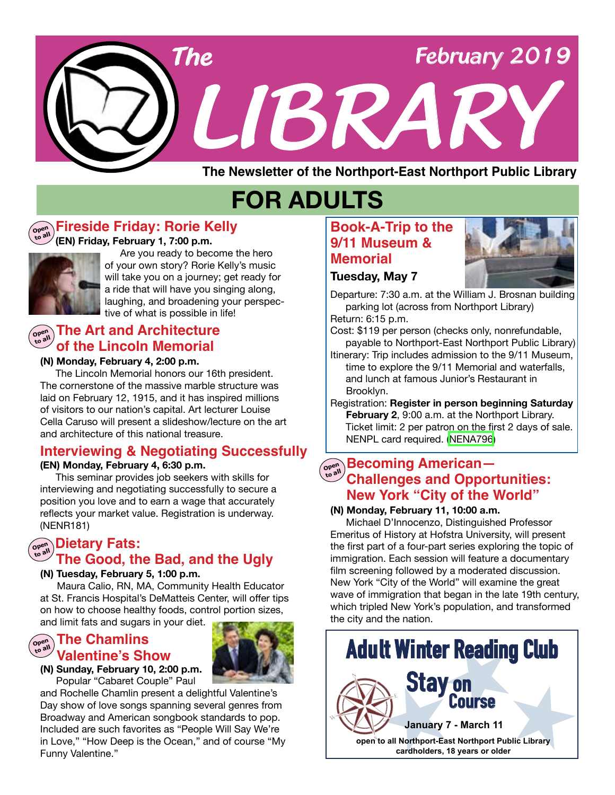

**The Newsletter of the Northport-East Northport Public Library**

# **FOR ADULTS**

#### **Open to all Fireside Friday: Rorie Kelly**

### **(EN) Friday, February 1, 7:00 p.m.**



 Are you ready to become the hero of your own story? Rorie Kelly's music will take you on a journey; get ready for a ride that will have you singing along, laughing, and broadening your perspective of what is possible in life!

### **of the Lincoln Memorial Open to all The Art and Architecture**

### **(N) Monday, February 4, 2:00 p.m.**

 The Lincoln Memorial honors our 16th president. The cornerstone of the massive marble structure was laid on February 12, 1915, and it has inspired millions of visitors to our nation's capital. Art lecturer Louise Cella Caruso will present a slideshow/lecture on the art and architecture of this national treasure.

### **Interviewing & Negotiating Successfully**

### **(EN) Monday, February 4, 6:30 p.m.**

This seminar provides job seekers with skills for interviewing and negotiating successfully to secure a position you love and to earn a wage that accurately reflects your market value. Registration is underway. (NENR181)

### **Dietary Fats: Open to all The Good, the Bad, and the Ugly**

### **(N) Tuesday, February 5, 1:00 p.m.**

 Maura Calio, RN, MA, Community Health Educator at St. Francis Hospital's DeMatteis Center, will offer tips on how to choose healthy foods, control portion sizes, and limit fats and sugars in your diet.

#### **The Chamlins Open to all Valentine's Show**



**(N) Sunday, February 10, 2:00 p.m.** Popular "Cabaret Couple" Paul

and Rochelle Chamlin present a delightful Valentine's Day show of love songs spanning several genres from Broadway and American songbook standards to pop. Included are such favorites as "People Will Say We're in Love," "How Deep is the Ocean," and of course "My Funny Valentine."

### **Book-A-Trip to the 9/11 Museum & Memorial**



Departure: 7:30 a.m. at the William J. Brosnan building parking lot (across from Northport Library)

Return: 6:15 p.m.

**Tuesday, May 7**

Cost: \$119 per person (checks only, nonrefundable, payable to Northport-East Northport Public Library)

Itinerary: Trip includes admission to the 9/11 Museum, time to explore the 9/11 Memorial and waterfalls, and lunch at famous Junior's Restaurant in Brooklyn.

Registration: **Register in person beginning Saturday February 2**, 9:00 a.m. at the Northport Library. Ticket limit: 2 per patron on the first 2 days of sale. NENPL card required. [\(NENA796](https://search.livebrary.com/record=g1088540~S43))

### **Becoming American—**<br> **Challenges and Opportunities: New York "City of the World"**

### **(N) Monday, February 11, 10:00 a.m.**

 Michael D'Innocenzo, Distinguished Professor Emeritus of History at Hofstra University, will present the first part of a four-part series exploring the topic of immigration. Each session will feature a documentary film screening followed by a moderated discussion. New York "City of the World" will examine the great wave of immigration that began in the late 19th century, which tripled New York's population, and transformed the city and the nation.

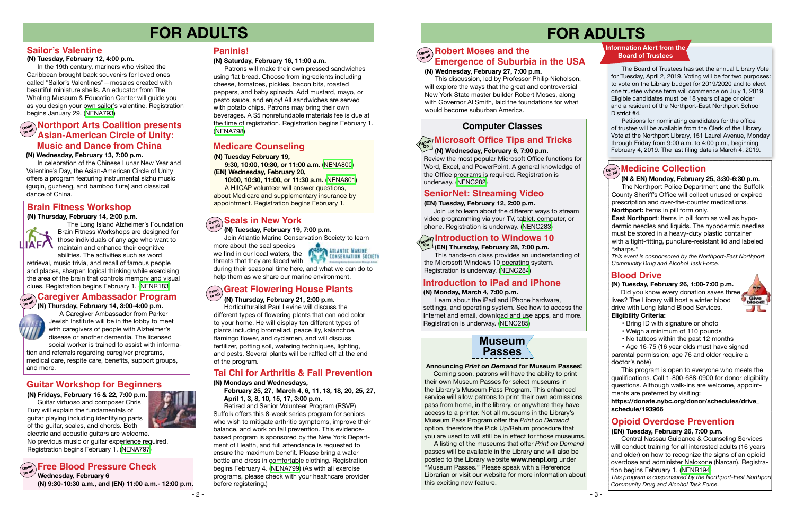- 3 -

# **FOR ADULTS FOR ADULTS**



### **Guitar Workshop for Beginners**

#### **(N) Wednesday, February 13, 7:00 p.m.**

 In celebration of the Chinese Lunar New Year and Valentine's Day, the Asian-American Circle of Unity offers a program featuring instrumental sizhu music (guqin, guzheng, and bamboo flute) and classical dance of China.

**(N) Fridays, February 15 & 22, 7:00 p.m.** Guitar virtuoso and composer Chris Fury will explain the fundamentals of guitar playing including identifying parts of the guitar, scales, and chords. Both electric and acoustic guitars are welcome. No previous music or guitar experience required. Registration begins February 1. [\(NENA797\)](https://search.livebrary.com/record=g1088495~S43)

### $\left(\begin{smallmatrix} \mathbf{C} & \mathbf{C} & \mathbf{C} \ \mathbf{C} & \mathbf{C} \end{smallmatrix}\right)$  Free Blood Pressure Check

#### **(N) Saturday, February 16, 11:00 a.m.**

 Patrons will make their own pressed sandwiches using flat bread. Choose from ingredients including cheese, tomatoes, pickles, bacon bits, roasted peppers, and baby spinach. Add mustard, mayo, or pesto sauce, and enjoy! All sandwiches are served with potato chips. Patrons may bring their own beverages. A \$5 nonrefundable materials fee is due at the time of registration. Registration begins February 1. [\(NENA798](https://search.livebrary.com/record=g1088496~S43))

### **Paninis!**

#### **(N) Thursday, February 21, 2:00 p.m.**

Did you know every donation saves three lives? The Library will host a winter blood drive with Long Island Blood Services. **Eligibility Criteria:**



 Horticulturalist Paul Levine will discuss the different types of flowering plants that can add color to your home. He will display ten different types of plants including bromeliad, peace lily, kalanchoe, flamingo flower, and cyclamen, and will discuss fertilizer, potting soil, watering techniques, lighting, and pests. Several plants will be raffled off at the end of the program.

> Coming soon, patrons will have the ability to print their own Museum Passes for select museums in the Library's Museum Pass Program. This enhanced service will allow patrons to print their own admissions pass from home, in the library, or anywhere they have access to a printer. Not all museums in the Library's Museum Pass Program offer the *Print on Demand* option, therefore the Pick Up/Return procedure that you are used to will still be in effect for those museums.

### **Great Flowering House Plants Open to all**

 A listing of the museums that offer *Print on Demand* passes will be available in the Library and will also be posted to the Library website **www.nenpl.org** under "Museum Passes." Please speak with a Reference Librarian or visit our website for more information about this exciting new feature.



### **Blood Drive**

### **(N) Tuesday, February 26, 1:00-7:00 p.m.**

### • Bring ID with signature or photo

- Weigh a minimum of 110 pounds
- No tattoos within the past 12 months
- Age 16-75 (16 year olds must have signed

parental permission; age 76 and older require a doctor's note)

**East Northport**: Items in pill form as well as hypodermic needles and liquids. The hypodermic needles must be stored in a heavy-duty plastic container with a tight-fitting, puncture-resistant lid and labeled "sharps."

 This program is open to everyone who meets the qualifications. Call 1-800-688-0900 for donor eligibility questions. Although walk-ins are welcome, appointments are preferred by visiting:

**https://donate.nybc.org/donor/schedules/drive\_ schedule/193966**

### **(N) Tuesday, February 19, 7:00 p.m.**

Join Atlantic Marine Conservation Society to learn

more about the seal species we find in our local waters, the threats that they are faced with



### **Seals in New York Open to all**

during their seasonal time here, and what we can do to help them as we share our marine environment.

### **Information Alert from the Board of Trustees**

 The Board of Trustees has set the annual Library Vote for Tuesday, April 2, 2019. Voting will be for two purposes: to vote on the Library budget for 2019/2020 and to elect one trustee whose term will commence on July 1, 2019. Eligible candidates must be 18 years of age or older and a resident of the Northport-East Northport School District #4.

 Petitions for nominating candidates for the office of trustee will be available from the Clerk of the Library Vote at the Northport Library, 151 Laurel Avenue, Monday through Friday from 9:00 a.m. to 4:00 p.m., beginning February 4, 2019. The last filing date is March 4, 2019.

### $\left(\begin{smallmatrix} \mathsf{open}\ \mathsf{out} \end{smallmatrix}\right)$  **Medicine Collection**

### **Northport Arts Coalition presents Asian-American Circle of Unity: Music and Dance from China**

### **Sailor's Valentine**

### **(N) Tuesday, February 12, 4:00 p.m.**

 In the 19th century, mariners who visited the Caribbean brought back souvenirs for loved ones called "Sailor's Valentines"—mosaics created with beautiful miniature shells. An educator from The Whaling Museum & Education Center will guide you as you design your own sailor's valentine. Registration begins January 29. [\(NENA793](https://search.livebrary.com/record=g1087767~S43))

### **Brain Fitness Workshop**

#### **(N) Thursday, February 14, 2:00 p.m.**



 The Long Island Alzheimer's Foundation Brain Fitness Workshops are designed for those individuals of any age who want to maintain and enhance their cognitive abilities. The activities such as word

retrieval, music trivia, and recall of famous people and places, sharpen logical thinking while exercising the area of the brain that controls memory and visual clues. Registration begins February 1. ([NENR183\)](https://search.livebrary.com/record=g1088608~S43)

> A Caregiver Ambassador from Parker Jewish Institute will be in the lobby to meet with caregivers of people with Alzheimer's disease or another dementia. The licensed social worker is trained to assist with informa-

tion and referrals regarding caregiver programs, medical care, respite care, benefits, support groups, and more.

 **(N & EN) Monday, February 25, 3:30-6:30 p.m.**

 The Northport Police Department and the Suffolk County Sheriff's Office will collect unused or expired prescription and over-the-counter medications. **Northport:** Items in pill form only.

*This event is cosponsored by the Northport-East Northport Community Drug and Alcohol Task Force*.

### **Tai Chi for Arthritis & Fall Prevention**

#### **(N) Mondays and Wednesdays,**

 **February 25, 27, March 4, 6, 11, 13, 18, 20, 25, 27, April 1, 3, 8, 10, 15, 17, 3:00 p.m.** 

#### **Caregiver Ambassador Program Open**

#### **(N) Thursday, February 14, 3:00-4:00 p.m. to all**



 Retired and Senior Volunteer Program (RSVP) Suffolk offers this 8-week series program for seniors who wish to mitigate arthritic symptoms, improve their balance, and work on fall prevention. This evidencebased program is sponsored by the New York Department of Health, and full attendance is requested to ensure the maximum benefit. Please bring a water bottle and dress in comfortable clothing. Registration begins February 4. [\(NENA799\)](https://search.livebrary.com/record=g1088500~S43) (As with all exercise programs, please check with your healthcare provider before registering.)

### **(N) Tuesday February 19,**

 **9:30, 10:00, 10:30, or 11:00 a.m.** ([NENA800](https://search.livebrary.com/record=g1088477~S43)) **(EN) Wednesday, February 20,**

 **10:00, 10:30, 11:00, or 11:30 a.m.** [\(NENA801](https://search.livebrary.com/record=g1088478~S43)) A HIICAP volunteer will answer questions, about Medicare and supplementary insurance by

appointment. Registration begins February 1.

### **Medicare Counseling**

### **Opioid Overdose Prevention**

#### **( EN) Tuesday, February 26, 7:00 p.m.**

Central Nassau Guidance & Counseling Services will conduct training for all interested adults (16 years and older) on how to recognize the signs of an opioid overdose and administer Naloxone (Narcan). Registration begins February 1. ([NENR194](https://search.livebrary.com/record=g1088612~S43))

*This program is cosponsored by the Northport-East Northport Community Drug and Alcohol Task Force.*

### **(N) Wednesday, February 27, 7:00 p.m.**

#### **Robert Moses and the Emergence of Suburbia in the USA Open to all**

 This discussion, led by Professor Philip Nicholson, will explore the ways that the great and controversial New York State master builder Robert Moses, along with Governor Al Smith, laid the foundations for what would become suburban America.

**Wednesday, February 6 (N) 9:30-10:30 a.m., and (EN) 11:00 a.m.- 12:00 p.m.**



#### **Announcing** *Print on Demand* **for Museum Passes!**

### **Computer Classes**

This hands-on class provides an understanding of the Microsoft Windows 10 operating system. Registration is underway. [\(NENC284\)](https://search.livebrary.com/record=g1061941~S43)

### **SeniorNet: Streaming Video**

#### **(EN) Tuesday, February 12, 2:00 p.m.**

 Join us to learn about the different ways to stream video programming via your TV, tablet, computer, or phone. Registration is underway. [\(NENC283\)](https://search.livebrary.com/record=g1088619~S43)

#### **(EN) Thursday, February 28, 7:00 p.m. On**

### **Introduction to Windows 10 Hands**

### **(N) Wednesday, February 6, 7:00 p.m.**

### **Microsoft Office Tips and Tricks Hands On**

Review the most popular Microsoft Office functions for Word, Excel, and PowerPoint. A general knowledge of the Office programs is required. Registration is underway. ([NENC282](https://search.livebrary.com/record=g1087109~S43))

### **Introduction to iPad and iPhone**

#### **(N) Monday, March 4, 7:00 p.m.**

 Learn about the iPad and iPhone hardware, settings, and operating system. See how to access the Internet and email, download and use apps, and more. Registration is underway. [\(NENC285\)](https://search.livebrary.com/record=g1082863~S43)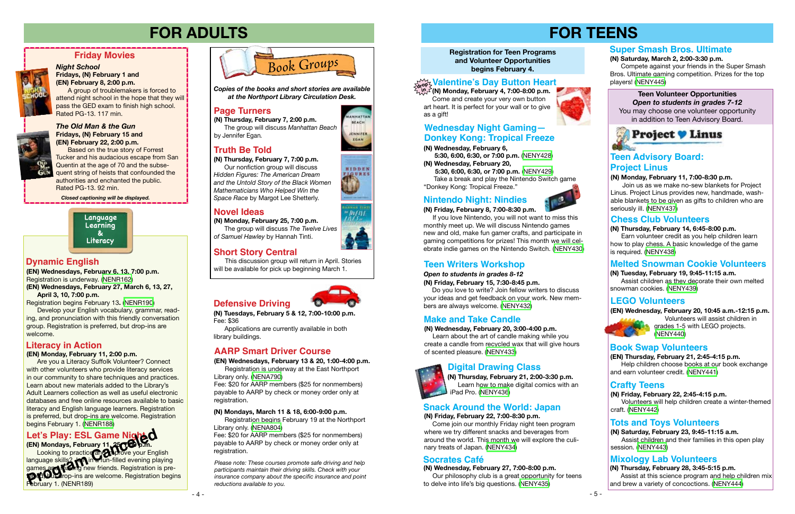### **Registration for Teen Programs and Volunteer Opportunities begins February 4.**

# **FOR TEENS**

### **(EN) Wednesday, February 20, 10:45 a.m.-12:15 p.m.**



 Volunteers will assist children in grades 1-5 with LEGO projects. ([NENY440](https://search.livebrary.com/record=g1088203~S43))

### **(N) Tuesday, February 19, 9:45-11:15 a.m.**

 Assist children as they decorate their own melted snowman cookies. [\(NENY439](https://search.livebrary.com/record=g1088014~S43))

# **FOR ADULTS**

**(N) Monday, February 25, 7:00 p.m.** The group will discuss *The Twelve Lives of Samuel Hawley* by Hannah Tinti.

Join us as we make no-sew blankets for Project Linus. Project Linus provides new, handmade, washable blankets to be given as gifts to children who are seriously ill. [\(NENY437\)](https://search.livebrary.com/record=g1087935~S43)





**LNHATTAI BEACH** 

**JENNIFER** EGAN











Based on the true story of Forrest Tucker and his audacious escape from San Quentin at the age of 70 and the subsequent string of heists that confounded the authorities and enchanted the public. Rated PG-13. 92 min.

### **Friday Movies**



### **LEGO Volunteers**

### **(N) Monday, February 11, 7:00-8:30 p.m.**

### **Teen Volunteer Opportunities** *Open to students in grades 7-12* You may choose one volunteer opportunity

in addition to Teen Advisory Board.



### **Melted Snowman Cookie Volunteers**

### **Truth Be Told**

### **Page Turners**

### **Novel Ideas**

**(N) Thursday, February 7, 2:00 p.m.** The group will discuss *Manhattan Beach*  by Jennifer Egan*.*

*Night School* **Fridays, (N) February 1 and (EN) February 8, 2:00 p.m.** 

A group of troublemakers is forced to attend night school in the hope that they will pass the GED exam to finish high school. Rated PG-13. 117 min.

*Closed captioning will be displayed.*

*Copies of the books and short stories are available at the Northport Library Circulation Desk.*

**(N) Thursday, February 7, 7:00 p.m.** Our nonfiction group will discuss *Hidden Figures: The American Dream and the Untold Story of the Black Women Mathematicians Who Helped Win the Space Race* by Margot Lee Shetterly.

### **Make and Take Candle**

### **(N) Wednesday, February 20, 3:00-4:00 p.m.**

 Learn about the art of candle making while you create a candle from recycled wax that will give hours of scented pleasure. [\(NENY433\)](https://search.livebrary.com/record=g1087865~S43)

### **Nintendo Night: Nindies**

### **(N) Friday, February 8, 7:00-8:30 p.m.**

 If you love Nintendo, you will not want to miss this monthly meet up. We will discuss Nintendo games new and old, make fun gamer crafts, and participate in gaming competitions for prizes! This month we will celebrate indie games on the Nintendo Switch. [\(NENY430](https://search.livebrary.com/record=g1087853~S43))

### **(N) Thursday, February 14, 6:45-8:00 p.m.**

 Earn volunteer credit as you help children learn how to play chess. A basic knowledge of the game is required. ([NENY438](https://search.livebrary.com/record=g1087940~S43))

### **Chess Club Volunteers**

### **Book Swap Volunteers**

**(EN) Thursday, February 21, 2:45-4:15 p.m.** 

 Help children choose books at our book exchange and earn volunteer credit. [\(NENY441](https://search.livebrary.com/record=g1088205~S43))

### **Literacy in Action**

### **(EN) Monday, February 11, 2:00 p.m.**

 Are you a Literacy Suffolk Volunteer? Connect with other volunteers who provide literacy services in our community to share techniques and practices. Learn about new materials added to the Library's Adult Learners collection as well as useful electronic databases and free online resources available to basic literacy and English language learners. Registration is preferred, but drop-ins are welcome. Registration begins February 1. ([NENR188\)](https://search.livebrary.com/record=g1088576~S43)

### **(N) Friday, February 22, 7:00-8:30 p.m.**

 Come join our monthly Friday night teen program where we try different snacks and beverages from around the world. This month we will explore the culinary treats of Japan. ([NENY434\)](https://search.livebrary.com/record=g1087866~S43)

### **Snack Around the World: Japan**

**(N) Thursday, February 21, 2:00-3:30 p.m.** Learn how to make digital comics with an iPad Pro. [\(NENY436](https://search.livebrary.com/record=g1087886~S43))

### **Digital Drawing Class**



### **Mixology Lab Volunteers**

**(N) Thursday, February 28, 3:45-5:15 p.m.**  Assist at this science program and help children mix and brew a variety of concoctions. [\(NENY444](https://search.livebrary.com/record=g1088356~S43))



### **Teen Advisory Board: Project Linus**



**(EN) Wednesdays, February 6, 13, 7:00 p.m.**  Registration is underway. [\(NENR162](https://search.livebrary.com/record=g1087760~S43)) **(EN) Wednesdays, February 27, March 6, 13, 27, April 3, 10, 7:00 p.m.** 

Registration begins February 13**.** [\(NENR190\)](https://search.livebrary.com/record=g1088634~S43)

Develop your English vocabulary, grammar, reading, and pronunciation with this friendly conversation group. Registration is preferred, but drop-ins are welcome.

### **Dynamic English**

# **(EN) Mondays, February 11, 25, 7:00 p.m.**

**Looking to practice and improve your English** language skills? **Jon** in a fun-filled evening playing games and making new friends. Registration is pre**ferred, but a**rop-ins are welcome. Registration begins February 1. (NENR189) Let's Play: ESL Game Night<br>
(EN) Mondays, February 11, 250 D.m.<br>
Looking to practice and prove your Eng<br>
language skills?<br> **Program Canceled Burger** From Canceled evening pl<br>
games and Maring new friends. Registration<br>
Pro

**Defensive Driving**

*Please note: These courses promote safe driving and help participants maintain their driving skills. Check with your insurance company about the specific insurance and point reductions available to you.*

### **AARP Smart Driver Course**

### **(N) Mondays, March 11 & 18, 6:00-9:00 p.m.**

Registration begins February 19 at the Northport Library only. ([NENA804](https://search.livebrary.com/record=g1088522~S43))

Fee: \$20 for AARP members (\$25 for nonmembers) payable to AARP by check or money order only at registration.

**(N) Tuesdays, February 5 & 12, 7:00-10:00 p.m.** Fee: \$36

Applications are currently available in both library buildings.

**(EN) Wednesdays, February 13 & 20, 1:00-4:00 p.m.** Registration is underway at the East Northport

Library only. ([NENA790\)](https://search.livebrary.com/record=g1087770~S43) Fee: \$20 for AARP members (\$25 for nonmembers)

payable to AARP by check or money order only at registration.

**(N) Wednesday, February 6,**

 **5:30, 6:00, 6:30, or 7:00 p.m.** [\(NENY428\)](https://search.livebrary.com/record=g1087842~S43) **(N) Wednesday, February 20,**

 **5:30, 6:00, 6:30, or 7:00 p.m.** ([NENY429\)](https://search.livebrary.com/record=g1087851~S43) Take a break and play the Nintendo Switch game "Donkey Kong: Tropical Freeze."

### **Wednesday Night Gaming— Donkey Kong: Tropical Freeze**

### *Open to students in grades 8-12*

### **(N) Friday, February 15, 7:30-8:45 p.m.**

 Do you love to write? Join fellow writers to discuss your ideas and get feedback on your work. New members are always welcome. [\(NENY432\)](https://search.livebrary.com/record=g1087864~S43)

### **Teen Writers Workshop**

**(N) Wednesday, February 27, 7:00-8:00 p.m.**

 Our philosophy club is a great opportunity for teens to delve into life's big questions. ([NENY435\)](https://search.livebrary.com/record=g1087870~S43)

### **Socrates Café**

### **Crafty Teens**

### **(N) Friday, February 22, 2:45-4:15 p.m.**

 Volunteers will help children create a winter-themed craft. ([NENY442](https://search.livebrary.com/record=g1088214~S43))

### **Tots and Toys Volunteers**

**(N) Saturday, February 23, 9:45-11:15 a.m.**  Assist children and their families in this open play session. [\(NENY443\)](https://search.livebrary.com/record=g1088225~S43)

**(N) Monday, February 4, 7:00-8:00 p.m.** Come and create your very own button art heart. It is perfect for your wall or to give as a gift!



### **Valentine's Day Button Heart drop in**

### **Super Smash Bros. Ultimate**

### **(N) Saturday, March 2, 2:00-3:30 p.m.**

 Compete against your friends in the Super Smash Bros. Ultimate gaming competition. Prizes for the top players! ([NENY445](https://search.livebrary.com/record=g1088447~S43))

This discussion group will return in April. Stories will be available for pick up beginning March 1.

### **Short Story Central**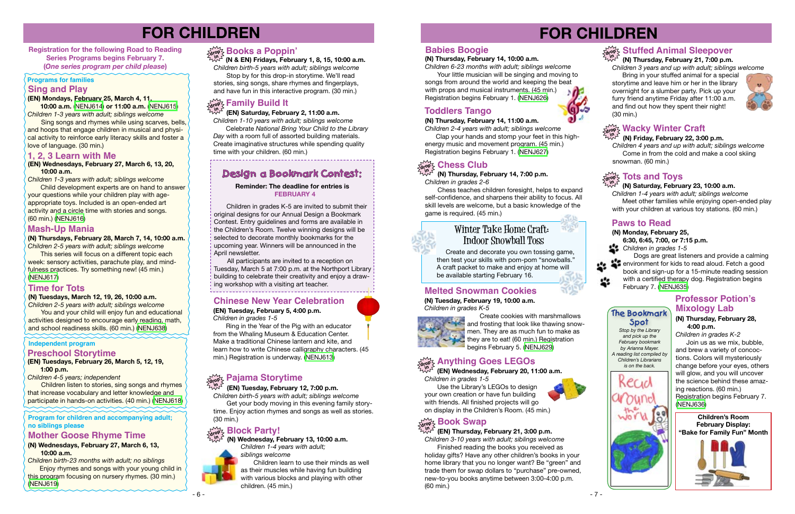**Children's Room February Display: "Bake for Family Fun" Month**





# **FOR CHILDREN**

**Registration for the following Road to Reading Series Programs begins February 7. (***One series program per child please***)**

### **Programs for families**

# **Sing and Play**<br>(EN) Mondays, February 25, March 4, 11,

### **(EN) Saturday, February 2, 11:00 a.m.**

*Children 1-10 years with adult; siblings welcome* Celebrate *National Bring Your Child to the Library Day* with a room full of assorted building materials. Create imaginative structures while spending quality time with your children. (60 min.)

### **Design a Bookmark Contest:**

# **FOR CHILDREN**

### **Independent program**

**Family Build It (EN) Mondays, February 25, March 4, 11, 10:00 a.m.** ([NENJ614](https://search.livebrary.com/record=g1087960~S43)) **or 11:00 a.m.** ([NENJ615](https://search.livebrary.com/record=g1087961~S43)) *Children 1-3 years with adult; siblings welcome*

**Child development experts are on hand to answer** your questions while your children play with ageappropriate toys. Included is an open-ended art activity and a circle time with stories and songs. (60 min.) ([NENJ616\)](https://search.livebrary.com/record=g1088483~S43)

 Sing songs and rhymes while using scarves, bells, and hoops that engage children in musical and physical activity to reinforce early literacy skills and foster a love of language. (30 min.)

**(EN) Tuesdays, February 26, March 5, 12, 19, 1:00 p.m.** 

*Children 4-5 years; independent* 

 Children listen to stories, sing songs and rhymes that increase vocabulary and letter knowledge and participate in hands-on activities. (40 min.) ([NENJ618](https://search.livebrary.com/record=g1087915~S43))

 All participants are invited to a reception on Tuesday, March 5 at 7:00 p.m. at the Northport Library building to celebrate their creativity and enjoy a drawl ing workshop with a visiting art teacher.<br>---------------------------------

### **Preschool Storytime**

### **1, 2, 3 Learn with Me**

### **(EN) Wednesdays, February 27, March 6, 13, 20, 10:00 a.m.**

*Children 1-3 years with adult; siblings welcome*

Use the Library's LEGOs to design your own creation or have fun building with friends. All finished projects will go on display in the Children's Room. (45 min.)

### $\frac{1}{\text{drop}}$  Anything Goes LEGOs **in**

 **(N & EN) Fridays, February 1, 8, 15, 10:00 a.m.** *Children birth-5 years with adult; siblings welcome* Stop by for this drop-in storytime. We'll read stories, sing songs, share rhymes and fingerplays, and have fun in this interactive program. (30 min.)

### **(N) Monday, February 25, 6:30, 6:45, 7:00, or 7:15 p.m.** *Children in grades 1-5*

### **Books a Poppin' drop in**

 Children in grades K-5 are invited to submit their original designs for our Annual Design a Bookmark Contest. Entry guidelines and forms are available in the Children's Room. Twelve winning designs will be selected to decorate monthly bookmarks for the upcoming year. Winners will be announced in the April newsletter.

Bring in your stuffed animal for a special storytime and leave him or her in the library overnight for a slumber party. Pick up your furry friend anytime Friday after 11:00 a.m. and find out how they spent their night! (30 min.)



### **Reminder: The deadline for entries is FEBRUARY 4**

#### **(EN) Tuesday, February 12, 7:00 p.m. in**

*Children birth-5 years with adult; siblings welcome*  Get your body moving in this evening family storytime. Enjoy action rhymes and songs as well as stories. (30 min.)

### **Block Party!**

#### **(N) Thursday, February 14, 7:00 p.m.** *Children in grades 2-6* **in**

 Chess teaches children foresight, helps to expand self-confidence, and sharpens their ability to focus. All skill levels are welcome, but a basic knowledge of the game is required. (45 min.)

 **(EN) Wednesday, February 20, 11:00 a.m.**  *Children in grades 1-5*

### **Melted Snowman Cookies**

**(N) Tuesday, February 19, 10:00 a.m.** *Children in grades K-5*



Create cookies with marshmallows and frosting that look like thawing snowmen. They are as much fun to make as they are to eat! (60 min.) Registration begins February 5. [\(NENJ629](https://search.livebrary.com/record=g1087854~S43))

#### $\frac{1}{\alpha! \alpha!}$  Wacky Winter Craft **in**

### **Paws to Read**

#### $\frac{\sum\limits_{\mathbf{d} \text{ of }\mathbf{d}} \mathbf{d}}{\sum\limits_{\mathbf{d} \text{ of }\mathbf{d}} \mathbf{d}}$  Toys **in**

 Dogs are great listeners and provide a calming environment for kids to read aloud. Fetch a good book and sign-up for a 15-minute reading session with a certified therapy dog. Registration begins February 7. [\(NENJ635\)](https://search.livebrary.com/record=g1087858~S43)

You and your child will enjoy fun and educational activities designed to encourage early reading, math, and school readiness skills. (60 min.) [\(NENJ638\)](https://search.livebrary.com/record=g1088435~S43)

### **(N) Thursday, February 21, 7:00 p.m.**

*Children 3 years and up with adult; siblings welcome*

### **Stuffed Animal Sleepover drop in**

### **Mash-Up Mania**

### **(N) Thursdays, February 28, March 7, 14, 10:00 a.m.**

*Children 2-5 years with adult; siblings welcome* This series will focus on a different topic each week: sensory activities, parachute play, and mind-

fulness practices. Try something new! (45 min.) ([NENJ617\)](https://search.livebrary.com/record=g1087906~S43)

**Program for children and accompanying adult; no siblings please** 

**(N) Wednesdays, February 27, March 6, 13, 10:00 a.m.** 

*Children birth-23 months with adult; no siblings* Enjoy rhymes and songs with your young child in this program focusing on nursery rhymes. (30 min.) ([NENJ619](https://search.livebrary.com/record=g1087912~S43))

### **Mother Goose Rhyme Time**

### **drop in**

### **Chinese New Year Celebration**

### **(EN) Tuesday, February 5, 4:00 p.m.**

*Children in grades 1-5*

 Ring in the Year of the Pig with an educator from the Whaling Museum & Education Center. Make a traditional Chinese lantern and kite, and learn how to write Chinese calligraphy characters. (45 min.) Registration is underway. [\(NENJ613\)](https://search.livebrary.com/record=g1086959~S43)

### **k Pajama Storytime**

 **(N) Wednesday, February 13, 10:00 a.m.** *Children 1-4 years with adult;* **in**

*siblings welcome* Children learn to use their minds as well as their muscles while having fun building with various blocks and playing with other children. (45 min.)

### **Babies Boogie**

### **(N) Thursday, February 14, 10:00 a.m.**

*Children 6-23 months with adult; siblings welcome* Your little musician will be singing and moving to songs from around the world and keeping the beat with props and musical instruments. (45 min.) Registration begins February 1. ([NENJ626\)](https://search.livebrary.com/record=g1087900~S43)

### **Toddlers Tango**

### **(N) Thursday, February 14, 11:00 a.m.**

*Children 2-4 years with adult; siblings welcome* Clap your hands and stomp your feet in this highenergy music and movement program. (45 min.) Registration begins February 1. ([NENJ627\)](https://search.livebrary.com/record=g1087902~S43)

### $\lim\limits_{\Delta t \to \infty} \frac{1}{2}$  Chess Club

### **(EN) Thursday, February 21, 3:00 p.m.**

*Children 3-10 years with adult; siblings welcome* 

Finished reading the books you received as holiday gifts? Have any other children's books in your home library that you no longer want? Be "green" and trade them for swap dollars to "purchase" pre-owned, new-to-you books anytime between 3:00-4:00 p.m. (60 min.)













 Create and decorate you own tossing game, then test your skills with pom-pom "snowballs." A craft packet to make and enjoy at home will be available starting February 16.

### **Winter Take Home Craft: Indoor Snowball Toss**

*Stop by the Library and pick up the February bookmark by Arianna Mayer. A reading list compiled by Children's Librarians is on the back.*

**The Bookmark Spot**

惢



### **(N) Friday, February 22, 3:00 p.m.**

*Children 4 years and up with adult; siblings welcome* Come in from the cold and make a cool skiing snowman. (60 min.)

### **(N) Saturday, February 23, 10:00 a.m.**

*Children 1-4 years with adult; siblings welcome* Meet other families while enjoying open-ended play with your children at various toy stations. (60 min.)

# **(N) Thursday, February 28,**

### **4:00 p.m.**

### **Professor Potion's Mixology Lab**

*Children in grades K-2* Join us as we mix, bubble, and brew a variety of concoctions. Colors will mysteriously change before your eyes, others will glow, and you will uncover the science behind these amazing reactions. (60 min.) Registration begins February 7. ([NENJ636](https://search.livebrary.com/record=g1087858~S43))

### **Time for Tots**

### **(N) Tuesdays, March 12, 19, 26, 10:00 a.m.**

*Children 2-5 years with adult; siblings welcome*